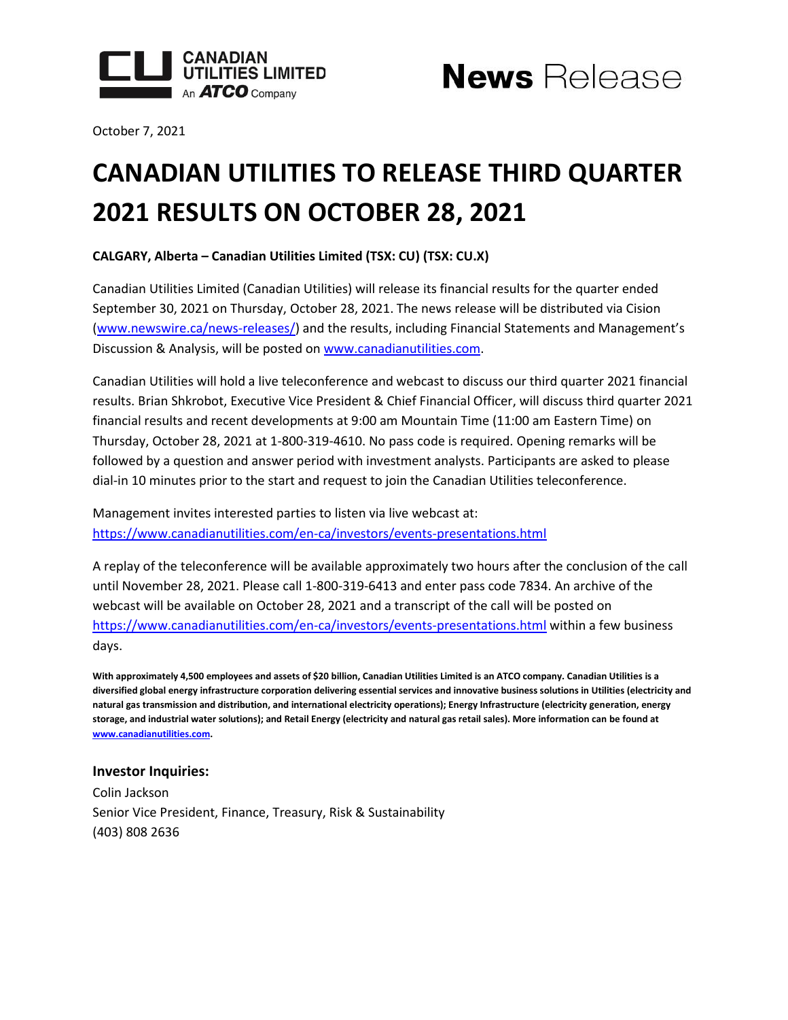



October 7, 2021

## **CANADIAN UTILITIES TO RELEASE THIRD QUARTER 2021 RESULTS ON OCTOBER 28, 2021**

**CALGARY, Alberta – Canadian Utilities Limited (TSX: CU) (TSX: CU.X)**

Canadian Utilities Limited (Canadian Utilities) will release its financial results for the quarter ended September 30, 2021 on Thursday, October 28, 2021. The news release will be distributed via Cision [\(www.newswire.ca/news-releases/](http://www.newswire.ca/news-releases/)) and the results, including Financial Statements and Management's Discussion & Analysis, will be posted o[n www.canadianutilities.com.](http://www.canadianutilities.com/)

Canadian Utilities will hold a live teleconference and webcast to discuss our third quarter 2021 financial results. Brian Shkrobot, Executive Vice President & Chief Financial Officer, will discuss third quarter 2021 financial results and recent developments at 9:00 am Mountain Time (11:00 am Eastern Time) on Thursday, October 28, 2021 at 1-800-319-4610. No pass code is required. Opening remarks will be followed by a question and answer period with investment analysts. Participants are asked to please dial-in 10 minutes prior to the start and request to join the Canadian Utilities teleconference.

Management invites interested parties to listen via live webcast at: <https://www.canadianutilities.com/en-ca/investors/events-presentations.html>

A replay of the teleconference will be available approximately two hours after the conclusion of the call until November 28, 2021. Please call 1-800-319-6413 and enter pass code 7834. An archive of the webcast will be available on October 28, 2021 and a transcript of the call will be posted on <https://www.canadianutilities.com/en-ca/investors/events-presentations.html> within a few business days.

**With approximately 4,500 employees and assets of \$20 billion, Canadian Utilities Limited is an ATCO company. Canadian Utilities is a diversified global energy infrastructure corporation delivering essential services and innovative business solutions in Utilities (electricity and natural gas transmission and distribution, and international electricity operations); Energy Infrastructure (electricity generation, energy storage, and industrial water solutions); and Retail Energy (electricity and natural gas retail sales). More information can be found at [www.canadianutilities.com.](https://www.canadianutilities.com/en-ca.html)**

## **Investor Inquiries:**

Colin Jackson Senior Vice President, Finance, Treasury, Risk & Sustainability (403) 808 2636